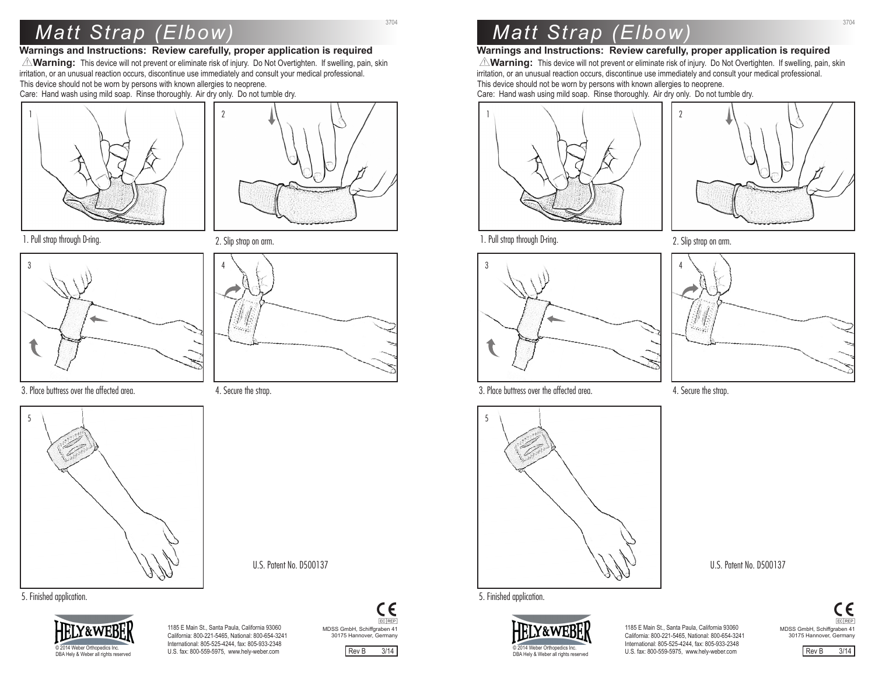# *Matt Strap (Elbow)*

### **Warnings and Instructions: Review carefully, proper application is required**

**AVarning:** This device will not prevent or eliminate risk of injury. Do Not Overtighten. If swelling, pain, skin irritation, or an unusual reaction occurs, discontinue use immediately and consult your medical professional. This device should not be worn by persons with known allergies to neoprene. Care: Hand wash using mild soap. Rinse thoroughly. Air dry only. Do not tumble dry.

 $\gamma$ 



3704

1. Pull strap through D-ring.



3. Place buttress over the affected area.



2. Slip strap on arm.



4. Secure the strap.

U.S. Patent No. D500137





1185 E Main St., Santa Paula, California 93060 California: 800-221-5465, National: 800-654-3241 International: 805-525-4244, fax: 805-933-2348 U.S. fax: 800-559-5975, www.hely-weber.com



Rev B 3/14

# *Matt Strap (Elbow)*

## **Warnings and Instructions: Review carefully, proper application is required**

**AVarning:** This device will not prevent or eliminate risk of injury. Do Not Overtighten. If swelling, pain, skin irritation, or an unusual reaction occurs, discontinue use immediately and consult your medical professional. This device should not be worn by persons with known allergies to neoprene. Care: Hand wash using mild soap. Rinse thoroughly. Air dry only. Do not tumble dry.





3704

1. Pull strap through D-ring.



3. Place buttress over the affected area.



5. Finished application.



1185 E Main St., Santa Paula, California 93060 California: 800-221-5465, National: 800-654-3241 International: 805-525-4244, fax: 805-933-2348 U.S. fax: 800-559-5975, www.hely-weber.com

MDSS GmbH, Schiffgraben 41 CE EC REP 30175 Hannover, Germany





4. Secure the strap.

U.S. Patent No. D500137